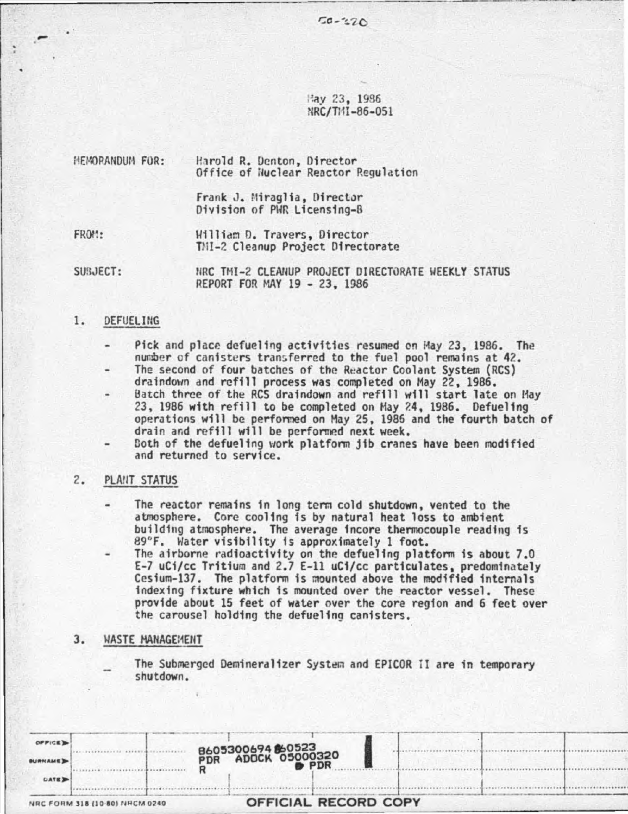~y 23, 1936 NRC/TIH-86-051

| HEMORANDUM FOR: | Harold R. Denton, Director<br>Office of Nuclear Reactor Regulation |  |  |  |  |
|-----------------|--------------------------------------------------------------------|--|--|--|--|
|                 | Frank J. Miraglia, Director<br>Division of PWR Licensing-B         |  |  |  |  |
| FROM:           | William D. Travers, Director<br>TMI-2 Cleanup Project Directorate  |  |  |  |  |

SUBJECT: NRC THI-2 CLEANUP PROJECT DIRECTORATE WEEKLY STATUS REPORT FOR MAY 19 - 23, 1986

# 1. DEFUELING

 $-$  .

- Pick and place defueling activities resumed on May 23, 1986. The number of canisters transferred to the fuel pool remains at 42.
- The second of four batches of the Reactor Coolant System (RCS) draindown and refill process was completed on May 22, 1986.<br>Batch three of the RCS draindown and refill will start late on May
- 23, 1986 with refill to be completed on May 24, 1986. Defueling<br>operations will be performed on May 25, 1986 and the fourth batch of drain and refill will be performed next week.
- Both of the defueling work platform jib cranes have been modified and returned to service.

## 2. PLA!IT STATUS

- The reactor remains in long tcnn cold shutdown, vented to the atmosphere. Core cooling is by natural heat loss to ambient building atmosphere. The average incore thermocouple reading is 89°F. Water visibility is approximately 1 foot.
	- The airborne radioactivity on the defueling platform is about 7.0 E-7 uCi/cc Tritium and 2.7 E-ll uCi/cc particulates, predominately Cesium-137. The platform is mounted above the modified internals indexing fixture which is mounted *over* the reactor vessel. These provide about 15 feet of water over the core region and 6 feet over the carousel holding the defueling canisters.

### 3. WASTE MANAGEMENT

The Submerged Demineralizer System and EPICOR II are in temporary<br>shutdown.

| OFFICE D<br><b>BURNAME</b><br><b>CATE</b> |                                | B605300694860523<br>PDR ADOCK 05000320<br><b>PDR</b> |  |  |
|-------------------------------------------|--------------------------------|------------------------------------------------------|--|--|
|                                           | NRC FORM 318 (10-80) NRCM 0240 | <b>OFFICIAL RECORD COPY</b>                          |  |  |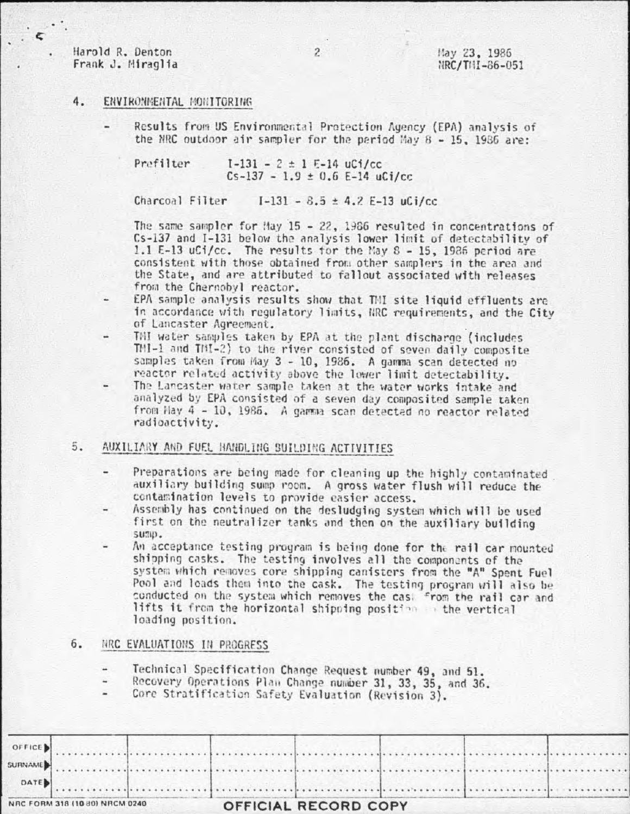Harold R. Denton Frank J. Miraglia

May 23, 1986  $HRC/THI - 86 - 051$ 

# 4. ENVIRONMENTAL MONITORING

Results from US Environmental Protection Agency (EPA) analysis of the NRC outdoor air sampler for the period May  $8 - 15$ , 1986 are:

Prefilter  $I-131 - 2 \pm 1$  E-14 uCi/cc  $Cs - 137 - 1.9 \pm 0.6$  E-14 uCi/cc

Charcoal Filter  $I-131 - 8.5 \pm 4.2$  E-13 uCi/cc

The same sampler for May  $15 - 22$ , 1986 resulted in concentrations of Cs-137 and I-131 below the analysis lower limit of detectability of 1.1 E-13 uCi/cc. The results for the May 8 - 15, 1986 period are consistent with those obtained from other samplers in the area and the State, and are attributed to fallout associated with releases from the Chernobyl reactor.

- EPA sample analysis results show that TMI site liquid effluents are in accordance with regulatory limits, NRC requirements, and the City of Lancaster Agreement.
- TMI water samples taken by EPA at the plant discharge (includes TMI-1 and TMI-2) to the river consisted of seven daily composite samples taken from May 3 - 10, 1986. A gamma scan detected no reactor related activity above the lower limit detectability.
- The Lancaster water sample taken at the water works intake and analyzed by EPA consisted of a seven day composited sample taken from Hay 4 - 10, 1986. A gamma scan detected no reactor related radioactivity.

### 5. AUXILIARY AND FUEL HANDLING SUILDING ACTIVITIES

- Preparations are being made for cleaning up the highly contaminated auxiliary building sump room. A gross water flush will reduce the contamination levels to provide easier access.
- Assembly has continued on the desludging system which will be used first on the neutralizer tanks and then on the auxiliary building sump.
- An acceptance testing program is being done for the rail car mounted shipping casks. The testing involves all the components of the system which removes core shipping canisters from the "A" Spent Fuel Pool and loads them into the cask. The testing program will also be conducted on the system which removes the cas. From the rail car and lifts it from the horizontal shipping position on the vertical loading position.

#### 6. NRC EVALUATIONS IN PROGRESS

- Technical Specification Change Request number 49, and 51.  $\frac{1}{2}$
- Recovery Operations Plan Change number 31, 33, 35, and 36. ٠
- Core Stratification Safety Evaluation (Revision 3).

|        | VRC FORM 318 (10 80) NRCM 0240 |  | <b>OFFICIAL RECORD COPY</b> |  |  |
|--------|--------------------------------|--|-----------------------------|--|--|
| DATE   |                                |  |                             |  |  |
|        |                                |  |                             |  |  |
|        |                                |  | AURINAME)                   |  |  |
| OFFICE |                                |  |                             |  |  |

 $2^{\circ}$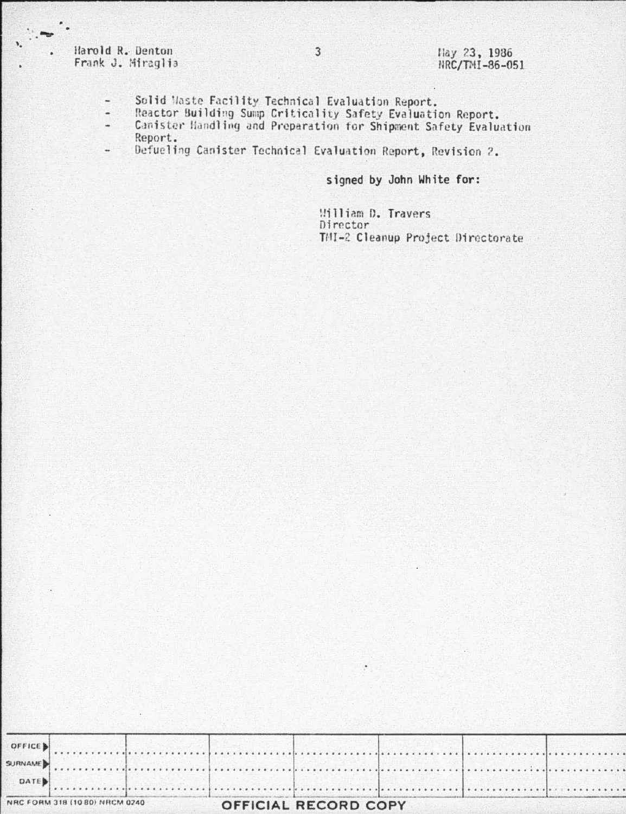Harold R. Denton Frank J. Miraglia

- Solid Maste Facility Technical Evaluation Report.  $\qquad \qquad \blacksquare$
- Reactor Building Sump Criticality Safety Evaluation Report.<br>Canister Handling and Preparation for Shipment Safety Evaluation  $\overline{a}$  $\frac{1}{2}$ Report.
- Defueling Canister Technical Evaluation Report, Revision 2.  $\frac{1}{2}$

signed by John White for:

William D. Travers Director TMI-2 Cleanup Project Directorate

|      | NRC FORM 318 (10 80) NRCM 0240 |  | <b>OFFICIAL RECORD COPY</b> |  |  |
|------|--------------------------------|--|-----------------------------|--|--|
| DATE |                                |  |                             |  |  |
|      |                                |  |                             |  |  |
|      |                                |  |                             |  |  |